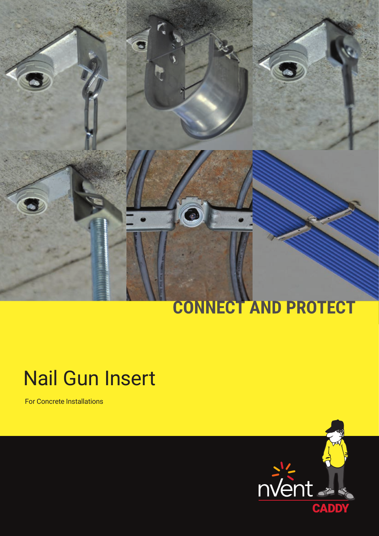# CONNECT AND PROTECT

## Nail Gun Insert

For Concrete Installations

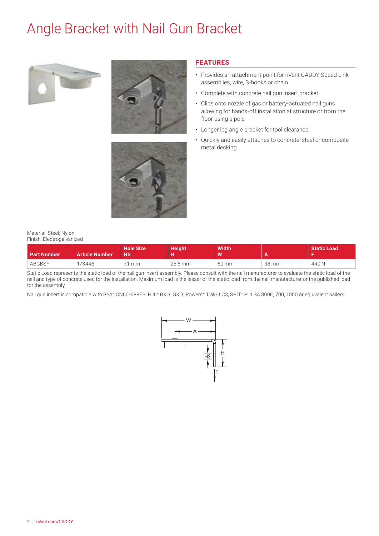### Angle Bracket with Nail Gun Bracket







Material: Steel; Nylon Finish: Electrogalvanized

#### **Part Number | Article Number Hole Size HS Height H Width W A Static Load F** ABGBSF 173446 7.1 mm 25.5 mm 50 mm 38 mm 440 N

**FEATURES**

floor using a pole

metal decking

• Provides an attachment point for nVent CADDY Speed Link

• Quickly and easily attaches to concrete, steel or composite

assemblies, wire, S-hooks or chain

• Complete with concrete nail gun insert bracket

• Longer leg angle bracket for tool clearance

• Clips onto nozzle of gas or battery-actuated nail guns allowing for hands-off installation at structure or from the

Static Load represents the static load of the nail gun insert assembly. Please consult with the nail manufacturer to evaluate the static load of the nail and type of concrete used for the installation. Maximum load is the lesser of the static load from the nail manufacturer or the published load for the assembly.

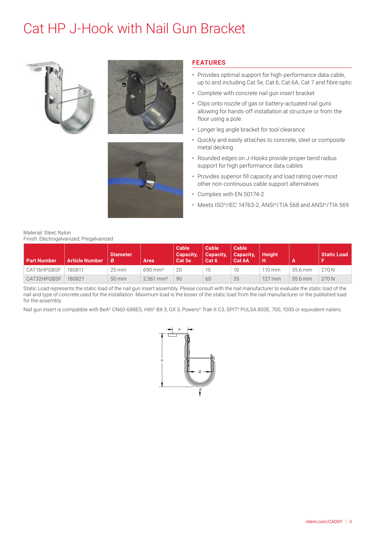### Cat HP J-Hook with Nail Gun Bracket







#### **FEATURES**

- Provides optimal support for high-performance data cable, up to and including Cat 5e, Cat 6, Cat 6A, Cat 7 and fibre optic
- Complete with concrete nail gun insert bracket
- Clips onto nozzle of gas or battery-actuated nail guns allowing for hands-off installation at structure or from the floor using a pole
- Longer leg angle bracket for tool clearance
- Quickly and easily attaches to concrete, steel or composite metal decking
- Rounded edges on J-Hooks provide proper bend radius support for high performance data cables
- Provides superior fill capacity and load rating over most other non-continuous cable support alternatives
- Complies with EN 50174-2
- Meets ISO®/IEC 14763-2, ANSI®/TIA 568 and ANSI®/TIA 569

Material: Steel; Nylon Finish: Electrogalvanized; Pregalvanized

| <b>Part Number</b> | <b>Article Number</b> | Diameter<br>ø      | Area                    | Cable<br>Capacity.<br>Cat 5e | <b>Cable</b><br>Capacity,<br>Cat 6 | Cable<br><b>Capacity,</b><br>Cat 6A | <b>Height</b> |                   | <b>Static Load</b> |
|--------------------|-----------------------|--------------------|-------------------------|------------------------------|------------------------------------|-------------------------------------|---------------|-------------------|--------------------|
| CAT16HPGBSF        | 180811                | $25 \,\mathrm{mm}$ | $690 \,\mathrm{mm}^2$   | 20                           | 15                                 | 10                                  | 110 mm        | $35.6 \text{ mm}$ | 270 N              |
| CAT32HPGBSF        | 180821                | 50 mm              | $2.561$ mm <sup>2</sup> | 90                           | 60                                 | 35                                  | $127$ mm      | 35.6 mm           | 270 N              |

Static Load represents the static load of the nail gun insert assembly. Please consult with the nail manufacturer to evaluate the static load of the nail and type of concrete used for the installation. Maximum load is the lesser of the static load from the nail manufacturer or the published load for the assembly.

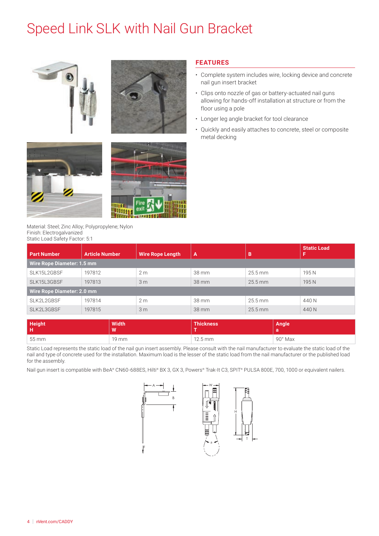### Speed Link SLK with Nail Gun Bracket









Material: Steel; Zinc Alloy; Polypropylene; Nylon Finish: Electrogalvanized Static Load Safety Factor: 5:1

#### **FEATURES**

- Complete system includes wire, locking device and concrete nail gun insert bracket
- Clips onto nozzle of gas or battery-actuated nail guns allowing for hands-off installation at structure or from the floor using a pole
- Longer leg angle bracket for tool clearance
- Quickly and easily attaches to concrete, steel or composite metal decking

| <b>Part Number</b>                | <b>Article Number</b> | <b>Wire Rope Length</b> | $\overline{A}$ | B         | <b>Static Load</b> |  |  |
|-----------------------------------|-----------------------|-------------------------|----------------|-----------|--------------------|--|--|
| <b>Wire Rope Diameter: 1.5 mm</b> |                       |                         |                |           |                    |  |  |
| SLK15L2GBSF                       | 197812                | 2 <sub>m</sub>          | 38 mm          | $25.5$ mm | 195N               |  |  |
| SLK15L3GBSF<br>197813             |                       | 3 <sub>m</sub>          | 38 mm          | $25.5$ mm | 195N               |  |  |
| <b>Wire Rope Diameter: 2.0 mm</b> |                       |                         |                |           |                    |  |  |
| SLK2L2GBSF                        | 197814                | 2 <sub>m</sub>          | 38 mm          | 25.5 mm   | 440 N              |  |  |
| SLK2L3GBSF                        | 197815                | 3 <sub>m</sub>          | 38 mm          | $25.5$ mm | 440 N              |  |  |

| Height<br>F | <b>Width</b><br><b>M</b> | <b>Thickness</b>  | <b>Angle</b> |
|-------------|--------------------------|-------------------|--------------|
| 55 mm       | 19 mm                    | $12.5 \text{ mm}$ | 90° Max      |

Static Load represents the static load of the nail gun insert assembly. Please consult with the nail manufacturer to evaluate the static load of the nail and type of concrete used for the installation. Maximum load is the lesser of the static load from the nail manufacturer or the published load for the assembly.



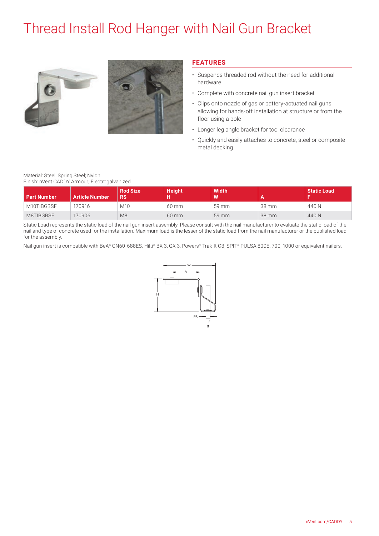### Thread Install Rod Hanger with Nail Gun Bracket





#### **FEATURES**

- Suspends threaded rod without the need for additional hardware
- Complete with concrete nail gun insert bracket
- Clips onto nozzle of gas or battery-actuated nail guns allowing for hands-off installation at structure or from the floor using a pole
- Longer leg angle bracket for tool clearance
- Quickly and easily attaches to concrete, steel or composite metal decking

#### Material: Steel; Spring Steel; Nylon

Finish: nVent CADDY Armour; Electrogalvanized

| <b>Part Number</b> | <b>Article Number</b> | <b>Rod Size</b><br><b>RS</b> | <b>Height</b> | <b>Width</b><br>W | Ð     | <b>Static Load</b> |
|--------------------|-----------------------|------------------------------|---------------|-------------------|-------|--------------------|
| M10TIBGBSF         | 70916                 | M10                          | 60 mm         | 59 mm             | 38 mm | 440 N              |
| M8TIBGBSF          | 170906                | M <sub>8</sub>               | 60 mm         | 59 mm             | 38 mm | 440 N              |

Static Load represents the static load of the nail gun insert assembly. Please consult with the nail manufacturer to evaluate the static load of the nail and type of concrete used for the installation. Maximum load is the lesser of the static load from the nail manufacturer or the published load for the assembly.

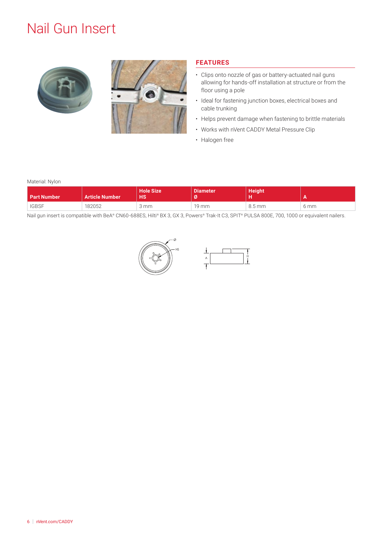### Nail Gun Insert





### **FEATURES**

- Clips onto nozzle of gas or battery-actuated nail guns allowing for hands-off installation at structure or from the floor using a pole
- Ideal for fastening junction boxes, electrical boxes and cable trunking
- Helps prevent damage when fastening to brittle materials
- Works with nVent CADDY Metal Pressure Clip
- Halogen free

#### Material: Nylon

| <b>Part Number</b> | <b>Article Number</b> | <b>Hole Size</b><br><b>HS</b> | <b>Diameter</b><br>Ø | <b>Height</b>       |      |
|--------------------|-----------------------|-------------------------------|----------------------|---------------------|------|
| <b>IGBSF</b>       | 182052                | 3 mm                          | 19 mm                | $8.5 \,\mathrm{mm}$ | 6 mm |



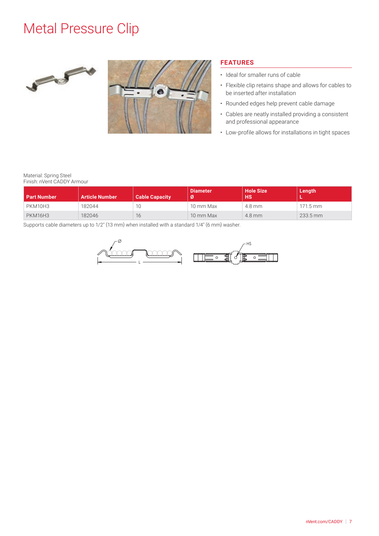### Metal Pressure Clip





### **FEATURES**

- Ideal for smaller runs of cable
- Flexible clip retains shape and allows for cables to be inserted after installation
- Rounded edges help prevent cable damage
- Cables are neatly installed providing a consistent and professional appearance
- Low-profile allows for installations in tight spaces

#### Material: Spring Steel Finish: nVent CADDY Armour

| <b>Part Number</b> | <b>Article Number</b> | <b>Cable Capacity</b> | Diameter<br>Ø | <b>Hole Size</b><br><b>HS</b> | Length                |
|--------------------|-----------------------|-----------------------|---------------|-------------------------------|-----------------------|
| PKM10H3            | 182044                | 10                    | 10 mm Max     | 4.8 mm                        | $171.5 \, \text{mm}$  |
| <b>PKM16H3</b>     | 182046                | 16                    | 10 mm Max     | $4.8$ mm                      | $233.5 \,\mathrm{mm}$ |

Supports cable diameters up to 1/2" (13 mm) when installed with a standard 1/4" (6 mm) washer.